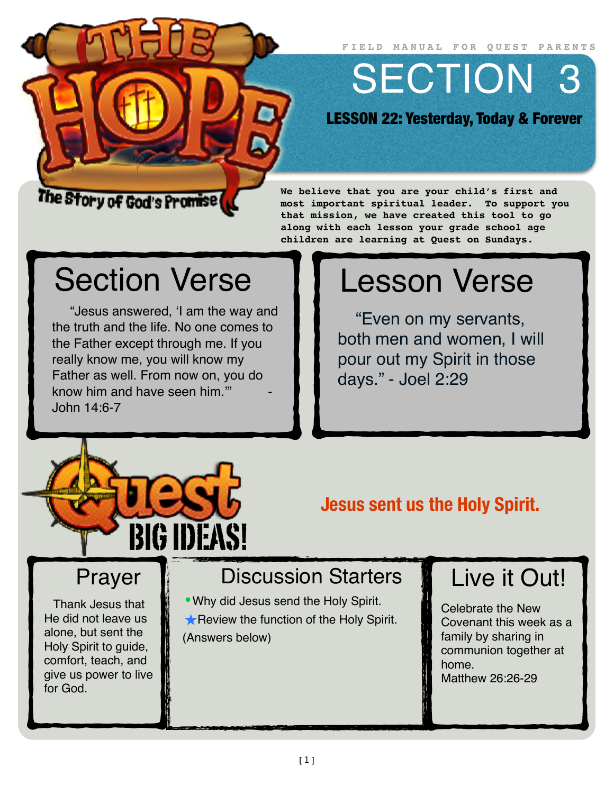**FIELD MANUAL FOR QUEST PARENTS**

SECTION 3

LESSON 22: Yesterday, Today & Forever

#### The Story of God's Promise (

**We believe that you are your child's first and most important spiritual leader. To support you that mission, we have created this tool to go along with each lesson your grade school age children are learning at Quest on Sundays.**

## Section Verse

"Jesus answered, 'I am the way and the truth and the life. No one comes to the Father except through me. If you really know me, you will know my Father as well. From now on, you do know him and have seen him." John 14:6-7

# Lesson Verse

"Even on my servants, both men and women, I will pour out my Spirit in those days." - Joel 2:29



#### **Jesus sent us the Holy Spirit.**

### Prayer

Thank Jesus that He did not leave us alone, but sent the Holy Spirit to guide, comfort, teach, and give us power to live for God.

#### Discussion Starters

•Why did Jesus send the Holy Spirit. **★ Review the function of the Holy Spirit.** (Answers below)

## Live it Out!

Celebrate the New Covenant this week as a family by sharing in communion together at home. Matthew 26:26-29